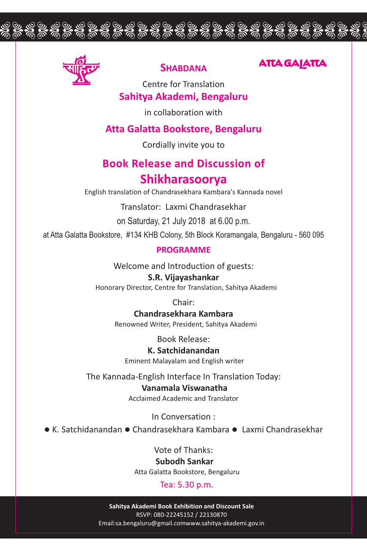

# **SHABDANA**

ghghghghghghghghghghghghghghgh

# **ATTA GAJATTA**

### **Sahitya Akademi, Bengaluru** Centre for Translation

in collaboration with

## **Atta Galatta Bookstore, Bengaluru**

Cordially invite you to

# **Book Release and Discussion of Shikharasoorya**

English translation of Chandrasekhara Kambara's Kannada novel

Translator: Laxmi Chandrasekhar

on Saturday, 21 July 2018 at 6.00 p.m.

at Atta Galatta Bookstore, #134 KHB Colony, 5th Block Koramangala, Bengaluru - 560 095

#### **PROGRAMME**

Welcome and Introduction of guests:

#### **S.R. Vijayashankar**

Honorary Director, Centre for Translation, Sahitya Akademi

Chair:

**Chandrasekhara Kambara** Renowned Writer, President, Sahitya Akademi

Book Release:

**K. Satchidanandan** Eminent Malayalam and English writer

The Kannada-English Interface In Translation Today:

**Vanamala Viswanatha** Acclaimed Academic and Translator

In Conversation :

• K. Satchidanandan • Chandrasekhara Kambara • Laxmi Chandrasekhar

Vote of Thanks:

#### **Subodh Sankar**

Atta Galatta Bookstore, Bengaluru

Tea: 5.30 p.m.

**Sahitya Akademi Book Exhibition and Discount Sale** RSVP: 080-22245152 / 22130870 Email:sa.bengaluru@gmail.comwww.sahitya-akademi.gov.in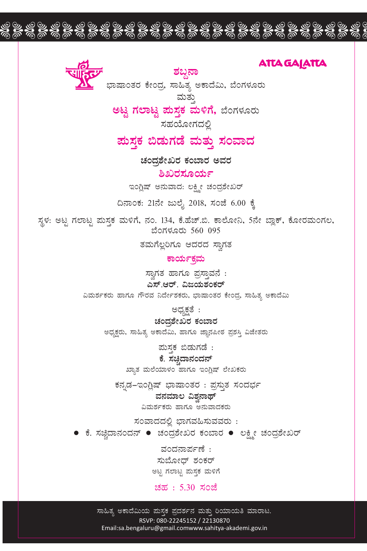

<u>ಶಬ್ದನಾ</u>

ghghghghghghghghghghghghghghgh

ಭಾಷಾಂತರ ಕೇಂದ್ರ, ಸಾಹಿತ್ಯ ಅಕಾದೆಮಿ, ಬೆಂಗಳೂರು ಮತು

**ಅಟ್ಟ ಗಲಾಟ್ಟ ಮಸ್ತಕ ಮಳಿಗೆ,** ಬೆಂಗಳೂರು

ಸಹಯೋಗದಲಿ

# ಹುಸ್ತಕ ಬಿಡುಗಡೆ ಮತ್ತು **ಸಂವಾ**ದ

**ಚಂದ್ರಶೇಖರ ಕಂಬಾರ ಅವರ** 

<u>ಶಿಖರಸೂರ್</u>ಯ

ಇಂಗ್ಲಿಷ್ ಅನುವಾದ: ಲಕ್ಷ್ಮೀ ಚಂದ್ರಶೇಖರ್

ದಿನಾಂಕ: 21ನೇ ಜುಲೈ 2018, ಸಂಜೆ 6.00 ಕ್ಕೆ

ಸ್ಥಳ: ಅಟ್ಟ ಗಲಾಟ್ಟ ಮಸ್ತಕ ಮಳಿಗೆ, ನಂ. 134, ಕೆ.ಹೆಚ್.ಬಿ. ಕಾಲೋನಿ, 5ನೇ ಬ್ಲಾಕ್, ಕೋರಮಂಗಲ, ಬೆಂಗಳೂರು 560 095

ತಮಗೆಲ್ಲರಿಗೂ ಆದರದ ಸ್ವಾಗತ

**PÁAiÀÄðPÀæªÀÄ**

ಸ್ವಾಗತ ಹಾಗೂ ಪ್ರಸ್ತಾವನೆ : ಎಸ್.ಆರ್. ವಿಜಯಶಂಕರ್ ವಿಮರ್ಶಕರು ಹಾಗೂ ಗೌರವ ನಿರ್ದೇಶಕರು, ಭಾಷಾಂತರ ಕೇಂದ್ರ, ಸಾಹಿತ್ಯ ಅಕಾದೆಮಿ

ಅಧ್ಯಕ್ಷತೆ :

**ZÀAzÀæ±ÉÃRgÀ PÀA¨ÁgÀ** ಅಧ್ಯಕ್ಷರು, ಸಾಹಿತ್ಯ ಅಕಾದೆಮಿ, ಹಾಗೂ ಜ್ಞಾನಪೀಠ ಪ್ರಶಸ್ತಿ ವಿಜೇತರು

<u>ಮಸ್ತಕ ಬಿಡುಗಡೆ</u> :

ಕೆ. ಸಚ್<del>ಚಿ</del>ದಾನಂದನ್ ಖ್ಯಾತ ಮಲೆಯಾಳಂ ಹಾಗೂ ಇಂಗ್ಲಿಷ್ ಲೇಖಕರು

ಕನ್ನಡ–ಇಂಗ್ಲಿಷ್ ಭಾಷಾಂತರ : ಪ್ರಸ್ತುತ ಸಂದರ್ಭ

ವನಮಾಲ ವಿಶ್ರನಾಥ್ ವಿಮರ್ಶಕರು ಹಾಗೂ ಅನುವಾದಕರು

 $\overline{a}$ ನಂವಾದದಲ್ಲಿ ಭಾಗವಹಿಸುವವರು :

 $\bullet$  ಕೆ. ಸಚ್ಚಿದಾನಂದನ್  $\bullet$  ಚಂದ್ರಶೇಖರ ಕಂಬಾರ  $\bullet$  ಲಕ್ಷ್ಮೀ ಚಂದ್ರಶೇಖರ್

ವಂದನಾರ್ಪಣೆ $:$ ಸುಬೋದ್ ಶಂಕರ್ ಅಟ್ಟ ಗಲಾಟ್ಟ ಮಸ್ತಕ ಮಳಿಗೆ

 $230, 5.30, 70$ 

ಸಾಹಿತ್ಯ ಅಕಾದೆಮಿಯ ಮಸ್ತಕ ಪ್ರದರ್ಶನ ಮತ್ತು ರಿಯಾಯತಿ ಮಾರಾಟ. RSVP: 080-22245152 / 22130870 Email:sa.bengaluru@gmail.comwww.sahitya-akademi.gov.in

# **ATTA GAJATTA**